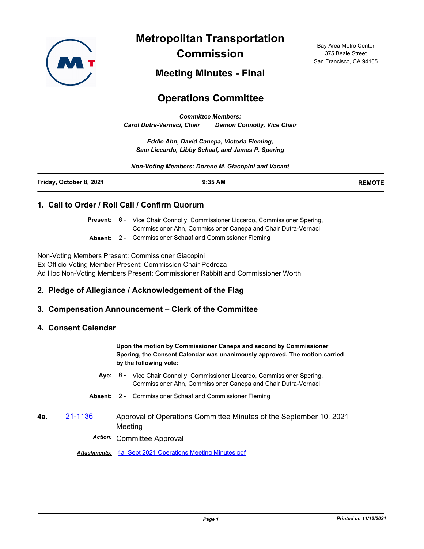

**Metropolitan Transportation Commission**

Bay Area Metro Center 375 Beale Street San Francisco, CA 94105

**Meeting Minutes - Final**

# **Operations Committee**

*Committee Members: Carol Dutra-Vernaci, Chair Damon Connolly, Vice Chair*

*Eddie Ahn, David Canepa, Victoria Fleming, Sam Liccardo, Libby Schaaf, and James P. Spering*

*Non-Voting Members: Dorene M. Giacopini and Vacant*

| Friday, October 8, 2021 | 9:35 AM | <b>REMOTE</b> |
|-------------------------|---------|---------------|
|                         |         |               |

### **1. Call to Order / Roll Call / Confirm Quorum**

|                     | <b>Present:</b> 6 - Vice Chair Connolly, Commissioner Liccardo, Commissioner Spering, |
|---------------------|---------------------------------------------------------------------------------------|
|                     | Commissioner Ahn, Commissioner Canepa and Chair Dutra-Vernaci                         |
| $A_{\text{linear}}$ | Commissioner Cebest and Commissioner Flaming                                          |

**Absent:** 2 - Commissioner Schaaf and Commissioner Fleming

Non-Voting Members Present: Commissioner Giacopini Ex Officio Voting Member Present: Commission Chair Pedroza Ad Hoc Non-Voting Members Present: Commissioner Rabbitt and Commissioner Worth

## **2. Pledge of Allegiance / Acknowledgement of the Flag**

### **3. Compensation Announcement – Clerk of the Committee**

### **4. Consent Calendar**

**Upon the motion by Commissioner Canepa and second by Commissioner Spering, the Consent Calendar was unanimously approved. The motion carried by the following vote:**

- Aye: 6 Vice Chair Connolly, Commissioner Liccardo, Commissioner Spering, Commissioner Ahn, Commissioner Canepa and Chair Dutra-Vernaci
- **Absent:** 2 Commissioner Schaaf and Commissioner Fleming
- **4a.** [21-1136](http://mtc.legistar.com/gateway.aspx?m=l&id=/matter.aspx?key=22729) Approval of Operations Committee Minutes of the September 10, 2021 Meeting

*Action:* Committee Approval

*Attachments:* [4a\\_Sept 2021 Operations Meeting Minutes.pdf](http://mtc.legistar.com/gateway.aspx?M=F&ID=71cd68f3-e049-425e-ad49-ae8530754fd1.pdf)